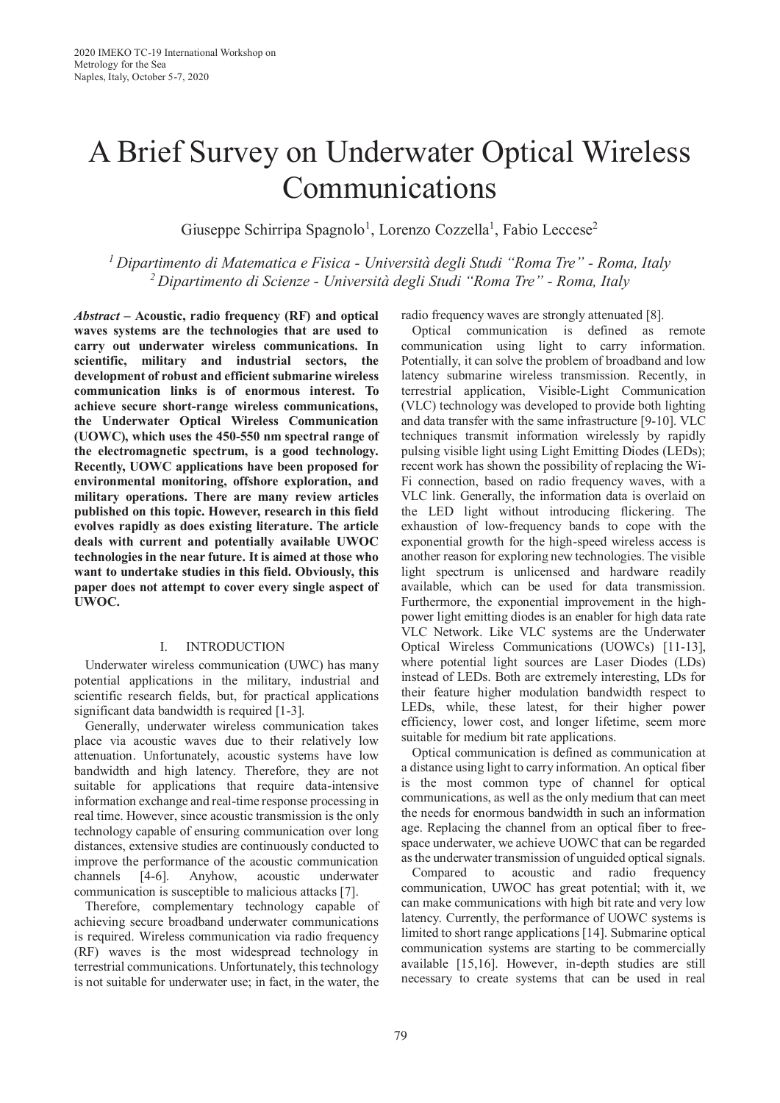# A Brief Survey on Underwater Optical Wireless Communications

Giuseppe Schirripa Spagnolo<sup>1</sup>, Lorenzo Cozzella<sup>1</sup>, Fabio Leccese<sup>2</sup>

*1 Dipartimento di Matematica e Fisica - Università degli Studi "Roma Tre" - Roma, Italy 2 Dipartimento di Scienze - Università degli Studi "Roma Tre" - Roma, Italy* 

*Abstract* **– Acoustic, radio frequency (RF) and optical waves systems are the technologies that are used to carry out underwater wireless communications. In scientific, military and industrial sectors, the development of robust and efficient submarine wireless communication links is of enormous interest. To achieve secure short-range wireless communications, the Underwater Optical Wireless Communication (UOWC), which uses the 450-550 nm spectral range of the electromagnetic spectrum, is a good technology. Recently, UOWC applications have been proposed for environmental monitoring, offshore exploration, and military operations. There are many review articles published on this topic. However, research in this field evolves rapidly as does existing literature. The article deals with current and potentially available UWOC technologies in the near future. It is aimed at those who want to undertake studies in this field. Obviously, this paper does not attempt to cover every single aspect of UWOC.** 

# I. INTRODUCTION

Underwater wireless communication (UWC) has many potential applications in the military, industrial and scientific research fields, but, for practical applications significant data bandwidth is required [1-3].

Generally, underwater wireless communication takes place via acoustic waves due to their relatively low attenuation. Unfortunately, acoustic systems have low bandwidth and high latency. Therefore, they are not suitable for applications that require data-intensive information exchange and real-time response processing in real time. However, since acoustic transmission is the only technology capable of ensuring communication over long distances, extensive studies are continuously conducted to improve the performance of the acoustic communication channels [4-6]. Anyhow, acoustic underwater communication is susceptible to malicious attacks [7].

Therefore, complementary technology capable of achieving secure broadband underwater communications is required. Wireless communication via radio frequency (RF) waves is the most widespread technology in terrestrial communications. Unfortunately, this technology is not suitable for underwater use; in fact, in the water, the radio frequency waves are strongly attenuated [8].

Optical communication is defined as remote communication using light to carry information. Potentially, it can solve the problem of broadband and low latency submarine wireless transmission. Recently, in terrestrial application, Visible-Light Communication (VLC) technology was developed to provide both lighting and data transfer with the same infrastructure [9-10]. VLC techniques transmit information wirelessly by rapidly pulsing visible light using Light Emitting Diodes (LEDs); recent work has shown the possibility of replacing the Wi-Fi connection, based on radio frequency waves, with a VLC link. Generally, the information data is overlaid on the LED light without introducing flickering. The exhaustion of low-frequency bands to cope with the exponential growth for the high-speed wireless access is another reason for exploring new technologies. The visible light spectrum is unlicensed and hardware readily available, which can be used for data transmission. Furthermore, the exponential improvement in the highpower light emitting diodes is an enabler for high data rate VLC Network. Like VLC systems are the Underwater Optical Wireless Communications (UOWCs) [11-13], where potential light sources are Laser Diodes (LDs) instead of LEDs. Both are extremely interesting, LDs for their feature higher modulation bandwidth respect to LEDs, while, these latest, for their higher power efficiency, lower cost, and longer lifetime, seem more suitable for medium bit rate applications.

Optical communication is defined as communication at a distance using light to carry information. An optical fiber is the most common type of channel for optical communications, as well as the only medium that can meet the needs for enormous bandwidth in such an information age. Replacing the channel from an optical fiber to freespace underwater, we achieve UOWC that can be regarded as the underwater transmission of unguided optical signals.

Compared to acoustic and radio frequency communication, UWOC has great potential; with it, we can make communications with high bit rate and very low latency. Currently, the performance of UOWC systems is limited to short range applications [14]. Submarine optical communication systems are starting to be commercially available [15,16]. However, in-depth studies are still necessary to create systems that can be used in real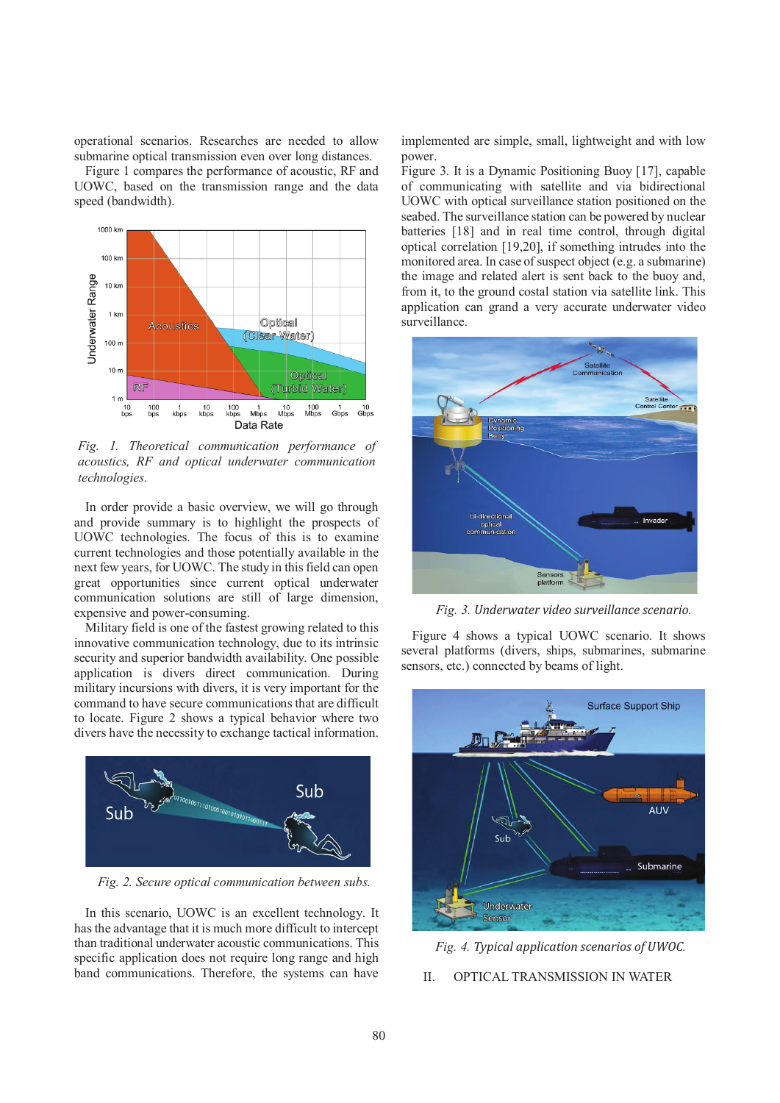operational scenarios. Researches are needed to allow submarine optical transmission even over long distances.

Figure 1 compares the performance of acoustic, RF and UOWC, based on the transmission range and the data speed (bandwidth).



*Fig. 1. Theoretical communication performance of acoustics, RF and optical underwater communication technologies.* 

In order provide a basic overview, we will go through and provide summary is to highlight the prospects of UOWC technologies. The focus of this is to examine current technologies and those potentially available in the next few years, for UOWC. The study in this field can open great opportunities since current optical underwater communication solutions are still of large dimension, expensive and power-consuming.

Military field is one of the fastest growing related to this innovative communication technology, due to its intrinsic security and superior bandwidth availability. One possible application is divers direct communication. During military incursions with divers, it is very important for the command to have secure communications that are difficult to locate. Figure 2 shows a typical behavior where two divers have the necessity to exchange tactical information.



*Fig. 2. Secure optical communication between subs.* 

In this scenario, UOWC is an excellent technology. It has the advantage that it is much more difficult to intercept than traditional underwater acoustic communications. This specific application does not require long range and high band communications. Therefore, the systems can have

implemented are simple, small, lightweight and with low power.

Figure 3. It is a Dynamic Positioning Buoy [17], capable of communicating with satellite and via bidirectional UOWC with optical surveillance station positioned on the seabed. The surveillance station can be powered by nuclear batteries [18] and in real time control, through digital optical correlation [19,20], if something intrudes into the monitored area. In case of suspect object (e.g. a submarine) the image and related alert is sent back to the buoy and, from it, to the ground costal station via satellite link. This application can grand a very accurate underwater video surveillance.



*Fig. 3. Underwater video surveillance scenario.*

Figure 4 shows a typical UOWC scenario. It shows several platforms (divers, ships, submarines, submarine sensors, etc.) connected by beams of light.





II. OPTICAL TRANSMISSION IN WATER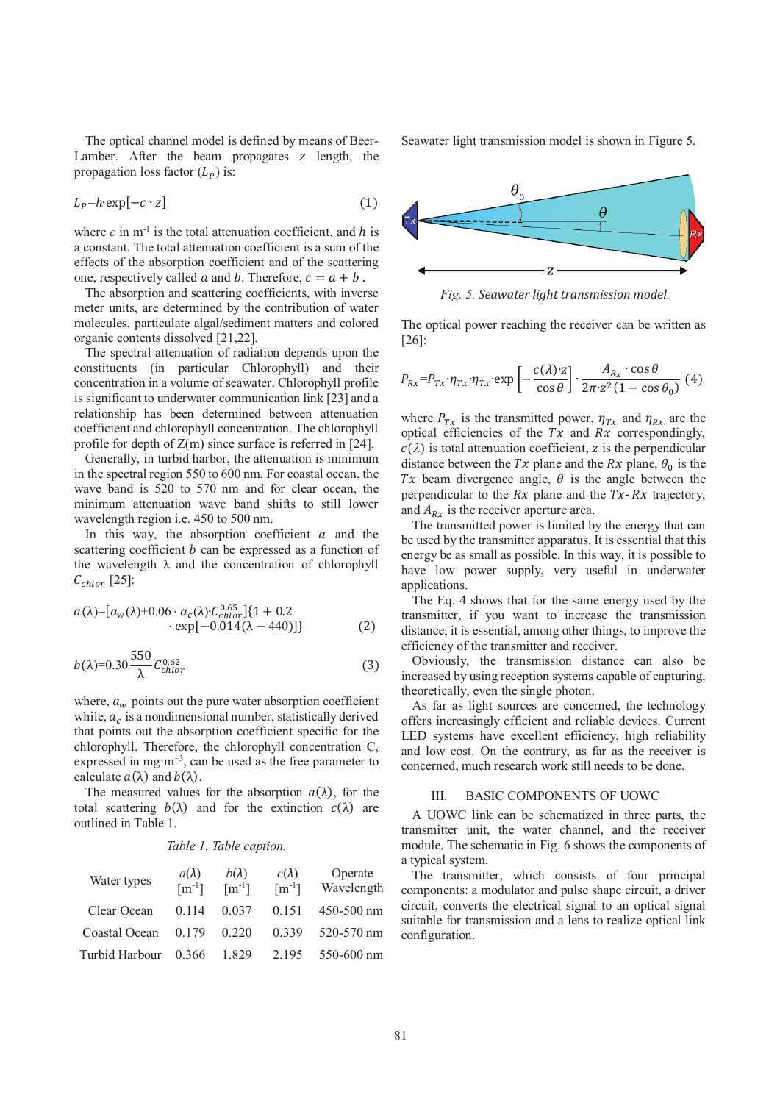The optical channel model is defined by means of Beer-Lamber. After the beam propagates  $z$  length, the propagation loss factor  $(L_P)$  is:

$$
L_p = h \cdot \exp[-c \cdot z] \tag{1}
$$

where  $c$  in m<sup>-1</sup> is the total attenuation coefficient, and  $h$  is a constant. The total attenuation coefficient is a sum of the effects of the absorption coefficient and of the scattering one, respectively called  $\alpha$  and  $\beta$ . Therefore,  $c = \alpha + \beta$ .

The absorption and scattering coefficients, with inverse meter units, are determined by the contribution of water molecules, particulate algal/sediment matters and colored organic contents dissolved [21,22].

The spectral attenuation of radiation depends upon the constituents (in particular Chlorophyll) and their concentration in a volume of seawater. Chlorophyll profile is significant to underwater communication link [23] and a relationship has been determined between attenuation coefficient and chlorophyll concentration. The chlorophyll profile for depth of  $Z(m)$  since surface is referred in [24].

Generally, in turbid harbor, the attenuation is minimum in the spectral region 550 to 600 nm. For coastal ocean, the wave band is 520 to 570 nm and for clear ocean, the minimum attenuation wave band shifts to still lower wavelength region i.e. 450 to 500 nm.

In this way, the absorption coefficient  $a$  and the scattering coefficient  $b$  can be expressed as a function of the wavelength  $\lambda$  and the concentration of chlorophyll  $C_{\text{chlor}}$  [25]:

$$
a(\lambda) = [a_w(\lambda) + 0.06 \cdot a_c(\lambda) \cdot C_{chlor}^{0.65}] \{1 + 0.2
$$
  
 
$$
\cdot \exp[-0.014(\lambda - 440)]\}
$$
 (2)

$$
b(\lambda)=0.30\frac{550}{\lambda}C_{chlor}^{0.62}
$$
 (3)

where,  $a_w$  points out the pure water absorption coefficient while,  $a_c$  is a nondimensional number, statistically derived that points out the absorption coefficient specific for the chlorophyll. Therefore, the chlorophyll concentration C, expressed in mg·m<sup>−</sup><sup>3</sup> , can be used as the free parameter to calculate  $a(\lambda)$  and  $b(\lambda)$ .

The measured values for the absorption  $a(\lambda)$ , for the total scattering  $b(\lambda)$  and for the extinction  $c(\lambda)$  are outlined in Table 1.

### *Table 1. Table caption.*

| Water types    | $a(\lambda)$<br>$\lceil m^{-1} \rceil$ | $b(\lambda)$<br>$\lceil m^{-1} \rceil$ | $c(\lambda)$<br>$\lceil m^{-1} \rceil$ | Operate<br>Wavelength |
|----------------|----------------------------------------|----------------------------------------|----------------------------------------|-----------------------|
| Clear Ocean    | 0.114                                  | 0.037                                  | 0.151                                  | 450-500 nm            |
| Coastal Ocean  | 0.179                                  | 0.220                                  | 0.339                                  | 520-570 nm            |
| Turbid Harbour | 0.366                                  | 1.829                                  | 2 1 9 5                                | 550-600 nm            |

Seawater light transmission model is shown in Figure 5.



*Fig. 5. Seawater light transmission model.* 

The optical power reaching the receiver can be written as [26]:

$$
P_{Rx} = P_{Tx} \cdot \eta_{Tx} \cdot \eta_{Tx} \cdot \exp\left[-\frac{c(\lambda) \cdot z}{\cos \theta}\right] \cdot \frac{A_{R_x} \cdot \cos \theta}{2\pi \cdot z^2 (1 - \cos \theta_0)} (4)
$$

where  $P_{Tx}$  is the transmitted power,  $\eta_{Tx}$  and  $\eta_{Rx}$  are the optical efficiencies of the  $Tx$  and  $Rx$  correspondingly,  $c(\lambda)$  is total attenuation coefficient, z is the perpendicular distance between the  $Tx$  plane and the  $Rx$  plane,  $\theta_0$  is the Tx beam divergence angle,  $\theta$  is the angle between the perpendicular to the  $Rx$  plane and the  $Tx - Rx$  trajectory, and  $A_{Bx}$  is the receiver aperture area.

The transmitted power is limited by the energy that can be used by the transmitter apparatus. It is essential that this energy be as small as possible. In this way, it is possible to have low power supply, very useful in underwater applications.

The Eq. 4 shows that for the same energy used by the transmitter, if you want to increase the transmission distance, it is essential, among other things, to improve the efficiency of the transmitter and receiver.

Obviously, the transmission distance can also be increased by using reception systems capable of capturing, theoretically, even the single photon.

As far as light sources are concerned, the technology offers increasingly efficient and reliable devices. Current LED systems have excellent efficiency, high reliability and low cost. On the contrary, as far as the receiver is concerned, much research work still needs to be done.

#### III. BASIC COMPONENTS OF UOWC

A UOWC link can be schematized in three parts, the transmitter unit, the water channel, and the receiver module. The schematic in Fig. 6 shows the components of a typical system.

The transmitter, which consists of four principal components: a modulator and pulse shape circuit, a driver circuit, converts the electrical signal to an optical signal suitable for transmission and a lens to realize optical link configuration.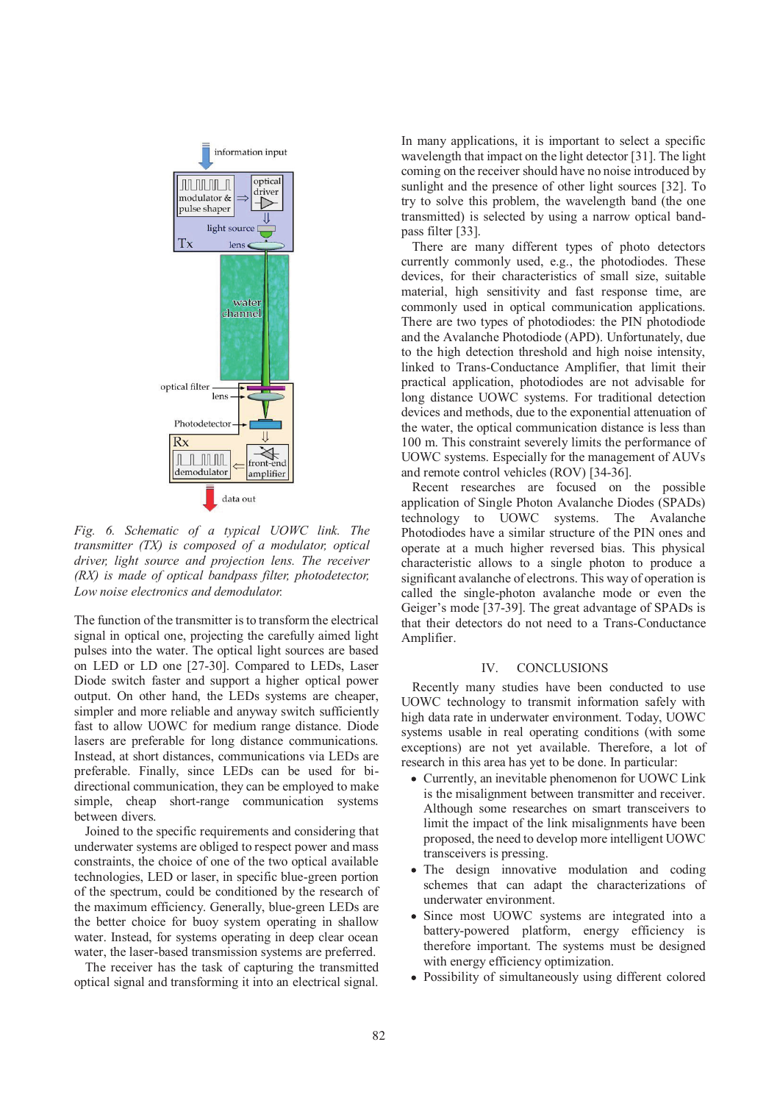

*Fig. 6. Schematic of a typical UOWC link. The transmitter (TX) is composed of a modulator, optical driver, light source and projection lens. The receiver (RX) is made of optical bandpass filter, photodetector, Low noise electronics and demodulator.*

The function of the transmitter is to transform the electrical signal in optical one, projecting the carefully aimed light pulses into the water. The optical light sources are based on LED or LD one [27-30]. Compared to LEDs, Laser Diode switch faster and support a higher optical power output. On other hand, the LEDs systems are cheaper, simpler and more reliable and anyway switch sufficiently fast to allow UOWC for medium range distance. Diode lasers are preferable for long distance communications. Instead, at short distances, communications via LEDs are preferable. Finally, since LEDs can be used for bidirectional communication, they can be employed to make simple, cheap short-range communication systems between divers.

Joined to the specific requirements and considering that underwater systems are obliged to respect power and mass constraints, the choice of one of the two optical available technologies, LED or laser, in specific blue-green portion of the spectrum, could be conditioned by the research of the maximum efficiency. Generally, blue-green LEDs are the better choice for buoy system operating in shallow water. Instead, for systems operating in deep clear ocean water, the laser-based transmission systems are preferred.

The receiver has the task of capturing the transmitted optical signal and transforming it into an electrical signal.

In many applications, it is important to select a specific wavelength that impact on the light detector [31]. The light coming on the receiver should have no noise introduced by sunlight and the presence of other light sources [32]. To try to solve this problem, the wavelength band (the one transmitted) is selected by using a narrow optical bandpass filter [33].

There are many different types of photo detectors currently commonly used, e.g., the photodiodes. These devices, for their characteristics of small size, suitable material, high sensitivity and fast response time, are commonly used in optical communication applications. There are two types of photodiodes: the PIN photodiode and the Avalanche Photodiode (APD). Unfortunately, due to the high detection threshold and high noise intensity, linked to Trans-Conductance Amplifier, that limit their practical application, photodiodes are not advisable for long distance UOWC systems. For traditional detection devices and methods, due to the exponential attenuation of the water, the optical communication distance is less than 100 m. This constraint severely limits the performance of UOWC systems. Especially for the management of AUVs and remote control vehicles (ROV) [34-36].

Recent researches are focused on the possible application of Single Photon Avalanche Diodes (SPADs) technology to UOWC systems. The Avalanche Photodiodes have a similar structure of the PIN ones and operate at a much higher reversed bias. This physical characteristic allows to a single photon to produce a significant avalanche of electrons. This way of operation is called the single-photon avalanche mode or even the Geiger's mode [37-39]. The great advantage of SPADs is that their detectors do not need to a Trans-Conductance Amplifier.

## IV. CONCLUSIONS

Recently many studies have been conducted to use UOWC technology to transmit information safely with high data rate in underwater environment. Today, UOWC systems usable in real operating conditions (with some exceptions) are not yet available. Therefore, a lot of research in this area has yet to be done. In particular:

- Currently, an inevitable phenomenon for UOWC Link is the misalignment between transmitter and receiver. Although some researches on smart transceivers to limit the impact of the link misalignments have been proposed, the need to develop more intelligent UOWC transceivers is pressing.
- The design innovative modulation and coding schemes that can adapt the characterizations of underwater environment.
- Since most UOWC systems are integrated into a battery-powered platform, energy efficiency is therefore important. The systems must be designed with energy efficiency optimization.
- Possibility of simultaneously using different colored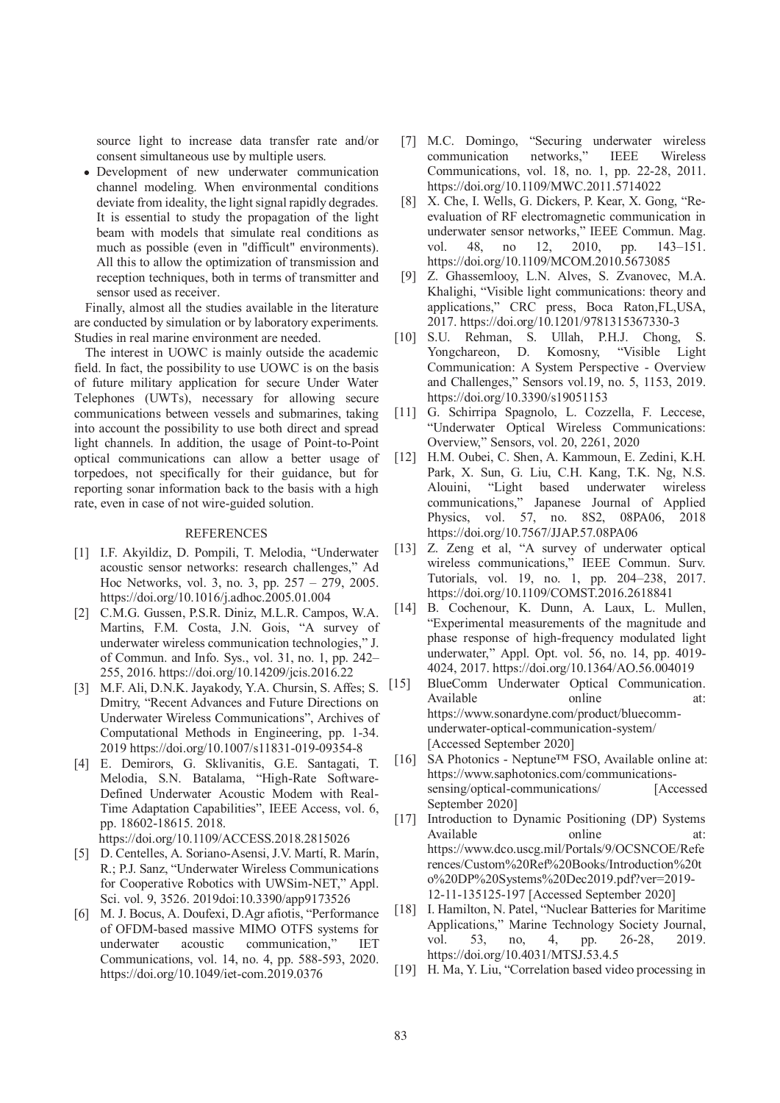source light to increase data transfer rate and/or consent simultaneous use by multiple users.

Development of new underwater communication channel modeling. When environmental conditions deviate from ideality, the light signal rapidly degrades. It is essential to study the propagation of the light beam with models that simulate real conditions as much as possible (even in "difficult" environments). All this to allow the optimization of transmission and reception techniques, both in terms of transmitter and sensor used as receiver.

Finally, almost all the studies available in the literature are conducted by simulation or by laboratory experiments. Studies in real marine environment are needed.

The interest in UOWC is mainly outside the academic field. In fact, the possibility to use UOWC is on the basis of future military application for secure Under Water Telephones (UWTs), necessary for allowing secure communications between vessels and submarines, taking into account the possibility to use both direct and spread light channels. In addition, the usage of Point-to-Point optical communications can allow a better usage of torpedoes, not specifically for their guidance, but for reporting sonar information back to the basis with a high rate, even in case of not wire-guided solution.

# REFERENCES

- [1] I.F. Akyildiz, D. Pompili, T. Melodia, "Underwater acoustic sensor networks: research challenges," Ad Hoc Networks, vol. 3, no. 3, pp. 257 – 279, 2005. https://doi.org/10.1016/j.adhoc.2005.01.004
- [2] C.M.G. Gussen, P.S.R. Diniz, M.L.R. Campos, W.A. Martins, F.M. Costa, J.N. Gois, "A survey of underwater wireless communication technologies," J. of Commun. and Info. Sys., vol. 31, no. 1, pp. 242– 255, 2016. https://doi.org/10.14209/jcis.2016.22
- [3] M.F. Ali, D.N.K. Jayakody, Y.A. Chursin, S. Affes; S. Dmitry, "Recent Advances and Future Directions on Underwater Wireless Communications", Archives of Computational Methods in Engineering, pp. 1-34. 2019 https://doi.org/10.1007/s11831-019-09354-8
- [4] E. Demirors, G. Sklivanitis, G.E. Santagati, T. Melodia, S.N. Batalama, "High-Rate Software-Defined Underwater Acoustic Modem with Real-Time Adaptation Capabilities", IEEE Access, vol. 6, pp. 18602-18615. 2018. https://doi.org/10.1109/ACCESS.2018.2815026
- [5] D. Centelles, A. Soriano-Asensi, J.V. Martí, R. Marín, R.; P.J. Sanz, "Underwater Wireless Communications for Cooperative Robotics with UWSim-NET," Appl. Sci. vol. 9, 3526. 2019doi:10.3390/app9173526
- [6] M. J. Bocus, A. Doufexi, D.Agr afiotis, "Performance of OFDM-based massive MIMO OTFS systems for underwater acoustic communication," IET Communications, vol. 14, no. 4, pp. 588-593, 2020. https://doi.org/10.1049/iet-com.2019.0376
- [7] M.C. Domingo, "Securing underwater wireless communication networks," IEEE Wireless Communications, vol. 18, no. 1, pp. 22-28, 2011. https://doi.org/10.1109/MWC.2011.5714022
- [8] X. Che, I. Wells, G. Dickers, P. Kear, X. Gong, "Reevaluation of RF electromagnetic communication in underwater sensor networks," IEEE Commun. Mag. vol. 48, no 12, 2010, pp. 143–151. https://doi.org/10.1109/MCOM.2010.5673085
- [9] Z. Ghassemlooy, L.N. Alves, S. Zvanovec, M.A. Khalighi, "Visible light communications: theory and applications," CRC press, Boca Raton,FL,USA, 2017. https://doi.org/10.1201/9781315367330-3
- [10] S.U. Rehman, S. Ullah, P.H.J. Chong, Yongchareon, D. Komosny, "Visible Light Communication: A System Perspective - Overview and Challenges," Sensors vol.19, no. 5, 1153, 2019. https://doi.org/10.3390/s19051153
- [11] G. Schirripa Spagnolo, L. Cozzella, F. Leccese, "Underwater Optical Wireless Communications: Overview," Sensors, vol. 20, 2261, 2020
- [12] H.M. Oubei, C. Shen, A. Kammoun, E. Zedini, K.H. Park, X. Sun, G. Liu, C.H. Kang, T.K. Ng, N.S. Alouini, "Light based underwater wireless communications," Japanese Journal of Applied Physics, vol. 57, no. 8S2, 08PA06, 2018 https://doi.org/10.7567/JJAP.57.08PA06
- [13] Z. Zeng et al, "A survey of underwater optical wireless communications," IEEE Commun. Surv. Tutorials, vol. 19, no. 1, pp. 204–238, 2017. https://doi.org/10.1109/COMST.2016.2618841
- [14] B. Cochenour, K. Dunn, A. Laux, L. Mullen, "Experimental measurements of the magnitude and phase response of high-frequency modulated light underwater," Appl. Opt. vol. 56, no. 14, pp. 4019- 4024, 2017. https://doi.org/10.1364/AO.56.004019
- [15] BlueComm Underwater Optical Communication. Available online at: https://www.sonardyne.com/product/bluecommunderwater-optical-communication-system/ [Accessed September 2020]
- [16] SA Photonics Neptune™ FSO, Available online at: https://www.saphotonics.com/communicationssensing/optical-communications/ [Accessed September 2020]
- [17] Introduction to Dynamic Positioning (DP) Systems Available online at: https://www.dco.uscg.mil/Portals/9/OCSNCOE/Refe rences/Custom%20Ref%20Books/Introduction%20t o%20DP%20Systems%20Dec2019.pdf?ver=2019- 12-11-135125-197 [Accessed September 2020]
- [18] I. Hamilton, N. Patel, "Nuclear Batteries for Maritime Applications," Marine Technology Society Journal, vol. 53, no, 4, pp. 26-28, 2019. https://doi.org/10.4031/MTSJ.53.4.5
- [19] H. Ma, Y. Liu, "Correlation based video processing in